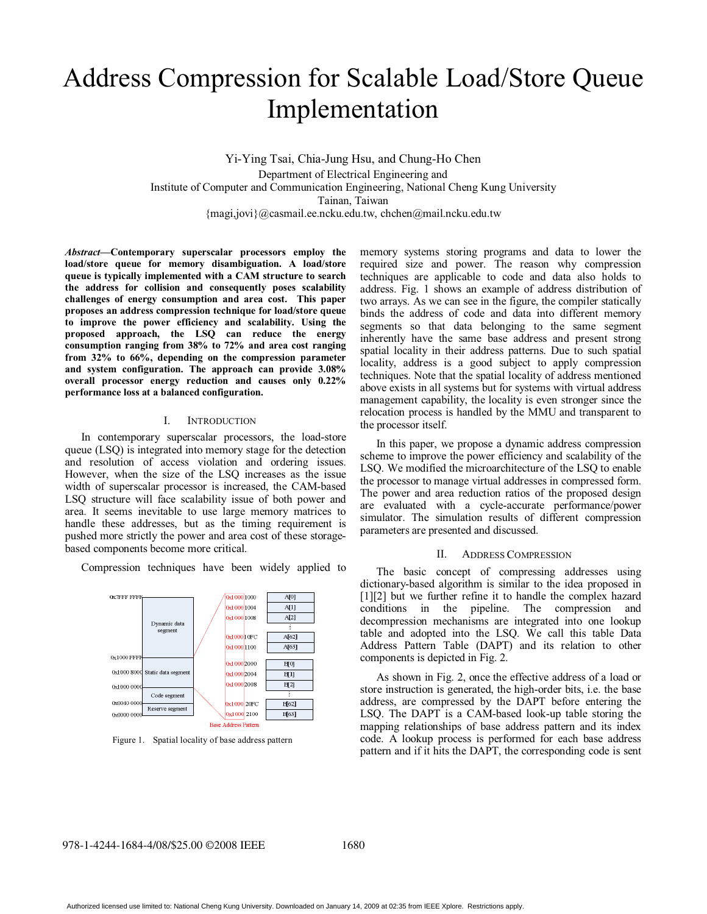# Address Compression for Scalable Load/Store Queue Implementation

Yi-Ying Tsai, Chia-Jung Hsu, and Chung-Ho Chen Department of Electrical Engineering and Institute of Computer and Communication Engineering, National Cheng Kung University Tainan, Taiwan {magi,jovi}@casmail.ee.ncku.edu.tw, chchen@mail.ncku.edu.tw

*Abstract***—Contemporary superscalar processors employ the load/store queue for memory disambiguation. A load/store queue is typically implemented with a CAM structure to search the address for collision and consequently poses scalability challenges of energy consumption and area cost. This paper proposes an address compression technique for load/store queue to improve the power efficiency and scalability. Using the proposed approach, the LSQ can reduce the energy consumption ranging from 38% to 72% and area cost ranging from 32% to 66%, depending on the compression parameter and system configuration. The approach can provide 3.08% overall processor energy reduction and causes only 0.22% performance loss at a balanced configuration.** 

#### I. INTRODUCTION

In contemporary superscalar processors, the load-store queue (LSQ) is integrated into memory stage for the detection and resolution of access violation and ordering issues. However, when the size of the LSQ increases as the issue width of superscalar processor is increased, the CAM-based LSQ structure will face scalability issue of both power and area. It seems inevitable to use large memory matrices to handle these addresses, but as the timing requirement is pushed more strictly the power and area cost of these storagebased components become more critical.

Compression techniques have been widely applied to



Figure 1. Spatial locality of base address pattern

memory systems storing programs and data to lower the required size and power. The reason why compression techniques are applicable to code and data also holds to address. Fig. 1 shows an example of address distribution of two arrays. As we can see in the figure, the compiler statically binds the address of code and data into different memory segments so that data belonging to the same segment inherently have the same base address and present strong spatial locality in their address patterns. Due to such spatial locality, address is a good subject to apply compression techniques. Note that the spatial locality of address mentioned above exists in all systems but for systems with virtual address management capability, the locality is even stronger since the relocation process is handled by the MMU and transparent to the processor itself.

In this paper, we propose a dynamic address compression scheme to improve the power efficiency and scalability of the LSQ. We modified the microarchitecture of the LSQ to enable the processor to manage virtual addresses in compressed form. The power and area reduction ratios of the proposed design are evaluated with a cycle-accurate performance/power simulator. The simulation results of different compression parameters are presented and discussed.

#### II. ADDRESS COMPRESSION

The basic concept of compressing addresses using dictionary-based algorithm is similar to the idea proposed in [1][2] but we further refine it to handle the complex hazard conditions in the pipeline. The compression and decompression mechanisms are integrated into one lookup table and adopted into the LSQ. We call this table Data Address Pattern Table (DAPT) and its relation to other components is depicted in Fig. 2.

As shown in Fig. 2, once the effective address of a load or store instruction is generated, the high-order bits, i.e. the base address, are compressed by the DAPT before entering the LSQ. The DAPT is a CAM-based look-up table storing the mapping relationships of base address pattern and its index code. A lookup process is performed for each base address pattern and if it hits the DAPT, the corresponding code is sent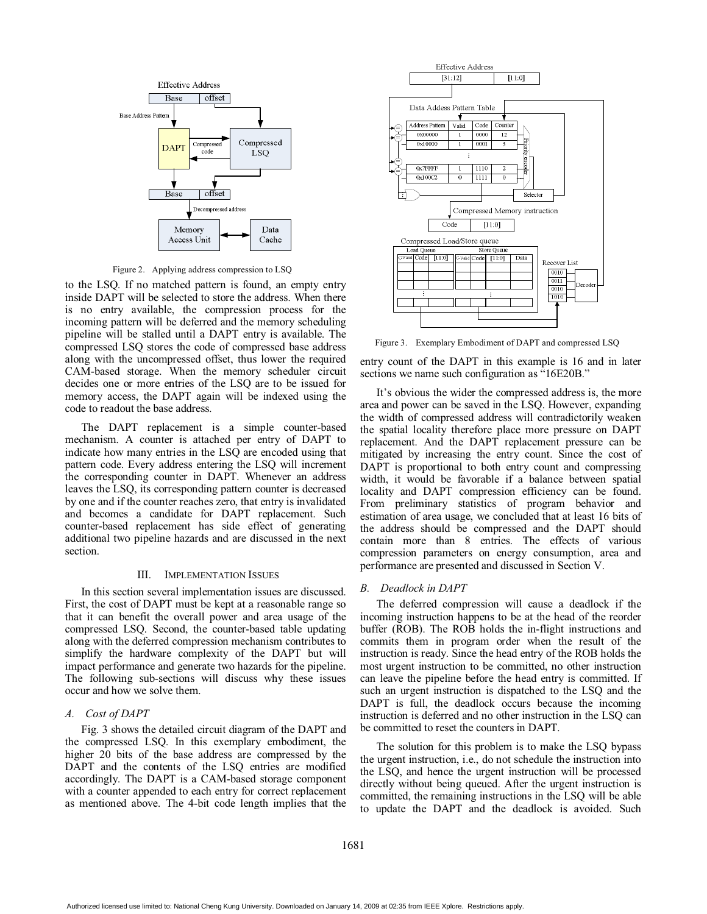

Figure 2. Applying address compression to LSQ

to the LSQ. If no matched pattern is found, an empty entry inside DAPT will be selected to store the address. When there is no entry available, the compression process for the incoming pattern will be deferred and the memory scheduling pipeline will be stalled until a DAPT entry is available. The compressed LSQ stores the code of compressed base address along with the uncompressed offset, thus lower the required CAM-based storage. When the memory scheduler circuit decides one or more entries of the LSQ are to be issued for memory access, the DAPT again will be indexed using the code to readout the base address.

The DAPT replacement is a simple counter-based mechanism. A counter is attached per entry of DAPT to indicate how many entries in the LSQ are encoded using that pattern code. Every address entering the LSQ will increment the corresponding counter in DAPT. Whenever an address leaves the LSQ, its corresponding pattern counter is decreased by one and if the counter reaches zero, that entry is invalidated and becomes a candidate for DAPT replacement. Such counter-based replacement has side effect of generating additional two pipeline hazards and are discussed in the next section.

#### III. IMPLEMENTATION ISSUES

In this section several implementation issues are discussed. First, the cost of DAPT must be kept at a reasonable range so that it can benefit the overall power and area usage of the compressed LSQ. Second, the counter-based table updating along with the deferred compression mechanism contributes to simplify the hardware complexity of the DAPT but will impact performance and generate two hazards for the pipeline. The following sub-sections will discuss why these issues occur and how we solve them.

#### *A. Cost of DAPT*

Fig. 3 shows the detailed circuit diagram of the DAPT and the compressed LSQ. In this exemplary embodiment, the higher 20 bits of the base address are compressed by the DAPT and the contents of the LSQ entries are modified accordingly. The DAPT is a CAM-based storage component with a counter appended to each entry for correct replacement as mentioned above. The 4-bit code length implies that the



Figure 3. Exemplary Embodiment of DAPT and compressed LSQ

entry count of the DAPT in this example is 16 and in later sections we name such configuration as "16E20B."

It's obvious the wider the compressed address is, the more area and power can be saved in the LSQ. However, expanding the width of compressed address will contradictorily weaken the spatial locality therefore place more pressure on DAPT replacement. And the DAPT replacement pressure can be mitigated by increasing the entry count. Since the cost of DAPT is proportional to both entry count and compressing width, it would be favorable if a balance between spatial locality and DAPT compression efficiency can be found. From preliminary statistics of program behavior and estimation of area usage, we concluded that at least 16 bits of the address should be compressed and the DAPT should contain more than 8 entries. The effects of various compression parameters on energy consumption, area and performance are presented and discussed in Section V.

## *B. Deadlock in DAPT*

The deferred compression will cause a deadlock if the incoming instruction happens to be at the head of the reorder buffer (ROB). The ROB holds the in-flight instructions and commits them in program order when the result of the instruction is ready. Since the head entry of the ROB holds the most urgent instruction to be committed, no other instruction can leave the pipeline before the head entry is committed. If such an urgent instruction is dispatched to the LSQ and the DAPT is full, the deadlock occurs because the incoming instruction is deferred and no other instruction in the LSQ can be committed to reset the counters in DAPT.

The solution for this problem is to make the LSQ bypass the urgent instruction, i.e., do not schedule the instruction into the LSQ, and hence the urgent instruction will be processed directly without being queued. After the urgent instruction is committed, the remaining instructions in the LSQ will be able to update the DAPT and the deadlock is avoided. Such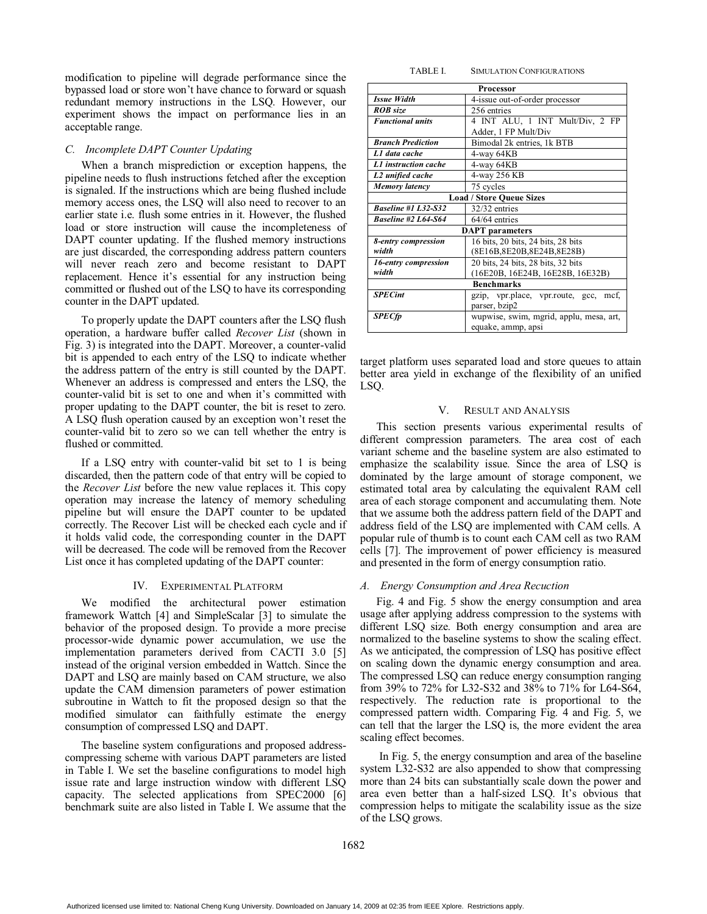modification to pipeline will degrade performance since the bypassed load or store won't have chance to forward or squash redundant memory instructions in the LSQ. However, our experiment shows the impact on performance lies in an acceptable range.

## *C. Incomplete DAPT Counter Updating*

When a branch misprediction or exception happens, the pipeline needs to flush instructions fetched after the exception is signaled. If the instructions which are being flushed include memory access ones, the LSQ will also need to recover to an earlier state i.e. flush some entries in it. However, the flushed load or store instruction will cause the incompleteness of DAPT counter updating. If the flushed memory instructions are just discarded, the corresponding address pattern counters will never reach zero and become resistant to DAPT replacement. Hence it's essential for any instruction being committed or flushed out of the LSQ to have its corresponding counter in the DAPT updated.

To properly update the DAPT counters after the LSQ flush operation, a hardware buffer called *Recover List* (shown in Fig. 3) is integrated into the DAPT. Moreover, a counter-valid bit is appended to each entry of the LSQ to indicate whether the address pattern of the entry is still counted by the DAPT. Whenever an address is compressed and enters the LSQ, the counter-valid bit is set to one and when it's committed with proper updating to the DAPT counter, the bit is reset to zero. A LSQ flush operation caused by an exception won't reset the counter-valid bit to zero so we can tell whether the entry is flushed or committed.

If a LSQ entry with counter-valid bit set to 1 is being discarded, then the pattern code of that entry will be copied to the *Recover List* before the new value replaces it. This copy operation may increase the latency of memory scheduling pipeline but will ensure the DAPT counter to be updated correctly. The Recover List will be checked each cycle and if it holds valid code, the corresponding counter in the DAPT will be decreased. The code will be removed from the Recover List once it has completed updating of the DAPT counter:

## IV. EXPERIMENTAL PLATFORM

We modified the architectural power estimation framework Wattch [4] and SimpleScalar [3] to simulate the behavior of the proposed design. To provide a more precise processor-wide dynamic power accumulation, we use the implementation parameters derived from CACTI 3.0 [5] instead of the original version embedded in Wattch. Since the DAPT and LSQ are mainly based on CAM structure, we also update the CAM dimension parameters of power estimation subroutine in Wattch to fit the proposed design so that the modified simulator can faithfully estimate the energy consumption of compressed LSQ and DAPT.

The baseline system configurations and proposed addresscompressing scheme with various DAPT parameters are listed in Table I. We set the baseline configurations to model high issue rate and large instruction window with different LSQ capacity. The selected applications from SPEC2000 [6] benchmark suite are also listed in Table I. We assume that the

| TABLE I. | <b>SIMULATION CONFIGURATIONS</b> |  |
|----------|----------------------------------|--|
|          |                                  |  |

| Processor                       |                                          |  |
|---------------------------------|------------------------------------------|--|
| <b>Issue Width</b>              | 4-issue out-of-order processor           |  |
| <b>ROB</b> size                 | 256 entries                              |  |
| <b>Functional units</b>         | 4 INT ALU, 1 INT Mult/Div, 2 FP          |  |
|                                 | Adder, 1 FP Mult/Div                     |  |
| <b>Branch Prediction</b>        | Bimodal 2k entries, 1k BTB               |  |
| L1 data cache                   | 4-way 64KB                               |  |
| <b>L1</b> instruction cache     | 4-way 64KB                               |  |
| L <sub>2</sub> unified cache    | 4-way 256 KB                             |  |
| Memory latency                  | 75 cycles                                |  |
| <b>Load / Store Queue Sizes</b> |                                          |  |
| <b>Baseline #1 L32-S32</b>      | $32/32$ entries                          |  |
| <b>Baseline #2 L64-S64</b>      | $64/64$ entries                          |  |
| <b>DAPT</b> parameters          |                                          |  |
| 8-entry compression             | 16 bits, 20 bits, 24 bits, 28 bits       |  |
| width                           | (8E16B, 8E20B, 8E24B, 8E28B)             |  |
| 16-entry compression            | 20 bits, 24 bits, 28 bits, 32 bits       |  |
| width                           | (16E20B, 16E24B, 16E28B, 16E32B)         |  |
| <b>Benchmarks</b>               |                                          |  |
| <b>SPECint</b>                  | gzip, vpr.place, vpr.route, gcc,<br>mcf. |  |
|                                 | parser, bzip2                            |  |
| <b>SPECfp</b>                   | wupwise, swim, mgrid, applu, mesa, art,  |  |
|                                 | equake, ammp, apsi                       |  |

target platform uses separated load and store queues to attain better area yield in exchange of the flexibility of an unified LSQ.

## V. RESULT AND ANALYSIS

This section presents various experimental results of different compression parameters. The area cost of each variant scheme and the baseline system are also estimated to emphasize the scalability issue. Since the area of LSQ is dominated by the large amount of storage component, we estimated total area by calculating the equivalent RAM cell area of each storage component and accumulating them. Note that we assume both the address pattern field of the DAPT and address field of the LSQ are implemented with CAM cells. A popular rule of thumb is to count each CAM cell as two RAM cells [7]. The improvement of power efficiency is measured and presented in the form of energy consumption ratio.

## *A. Energy Consumption and Area Recuction*

Fig. 4 and Fig. 5 show the energy consumption and area usage after applying address compression to the systems with different LSQ size. Both energy consumption and area are normalized to the baseline systems to show the scaling effect. As we anticipated, the compression of LSQ has positive effect on scaling down the dynamic energy consumption and area. The compressed LSQ can reduce energy consumption ranging from 39% to 72% for L32-S32 and 38% to 71% for L64-S64, respectively. The reduction rate is proportional to the compressed pattern width. Comparing Fig. 4 and Fig. 5, we can tell that the larger the LSQ is, the more evident the area scaling effect becomes.

 In Fig. 5, the energy consumption and area of the baseline system L32-S32 are also appended to show that compressing more than 24 bits can substantially scale down the power and area even better than a half-sized LSQ. It's obvious that compression helps to mitigate the scalability issue as the size of the LSQ grows.